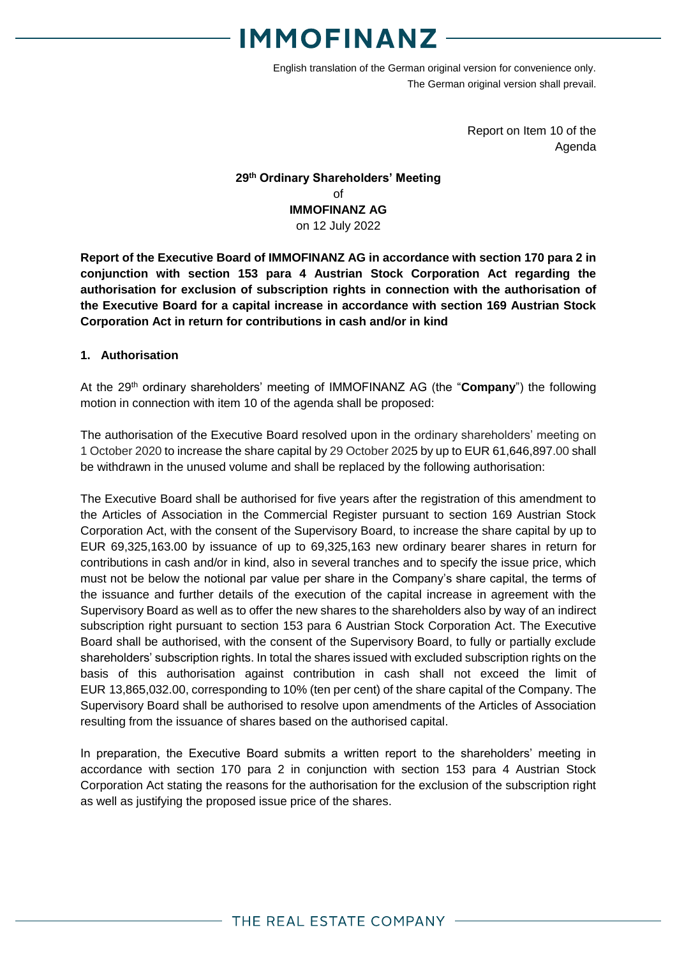English translation of the German original version for convenience only. The German original version shall prevail.

> Report on Item 10 of the Agenda

### **29 th Ordinary Shareholders' Meeting** of **IMMOFINANZ AG** on 12 July 2022

**Report of the Executive Board of IMMOFINANZ AG in accordance with section 170 para 2 in conjunction with section 153 para 4 Austrian Stock Corporation Act regarding the authorisation for exclusion of subscription rights in connection with the authorisation of the Executive Board for a capital increase in accordance with section 169 Austrian Stock Corporation Act in return for contributions in cash and/or in kind**

### **1. Authorisation**

At the 29<sup>th</sup> ordinary shareholders' meeting of IMMOFINANZ AG (the "**Company**") the following motion in connection with item 10 of the agenda shall be proposed:

The authorisation of the Executive Board resolved upon in the ordinary shareholders' meeting on 1 October 2020 to increase the share capital by 29 October 2025 by up to EUR 61,646,897.00 shall be withdrawn in the unused volume and shall be replaced by the following authorisation:

The Executive Board shall be authorised for five years after the registration of this amendment to the Articles of Association in the Commercial Register pursuant to section 169 Austrian Stock Corporation Act, with the consent of the Supervisory Board, to increase the share capital by up to EUR 69,325,163.00 by issuance of up to 69,325,163 new ordinary bearer shares in return for contributions in cash and/or in kind, also in several tranches and to specify the issue price, which must not be below the notional par value per share in the Company's share capital, the terms of the issuance and further details of the execution of the capital increase in agreement with the Supervisory Board as well as to offer the new shares to the shareholders also by way of an indirect subscription right pursuant to section 153 para 6 Austrian Stock Corporation Act. The Executive Board shall be authorised, with the consent of the Supervisory Board, to fully or partially exclude shareholders' subscription rights. In total the shares issued with excluded subscription rights on the basis of this authorisation against contribution in cash shall not exceed the limit of EUR 13,865,032.00, corresponding to 10% (ten per cent) of the share capital of the Company. The Supervisory Board shall be authorised to resolve upon amendments of the Articles of Association resulting from the issuance of shares based on the authorised capital.

In preparation, the Executive Board submits a written report to the shareholders' meeting in accordance with section 170 para 2 in conjunction with section 153 para 4 Austrian Stock Corporation Act stating the reasons for the authorisation for the exclusion of the subscription right as well as justifying the proposed issue price of the shares.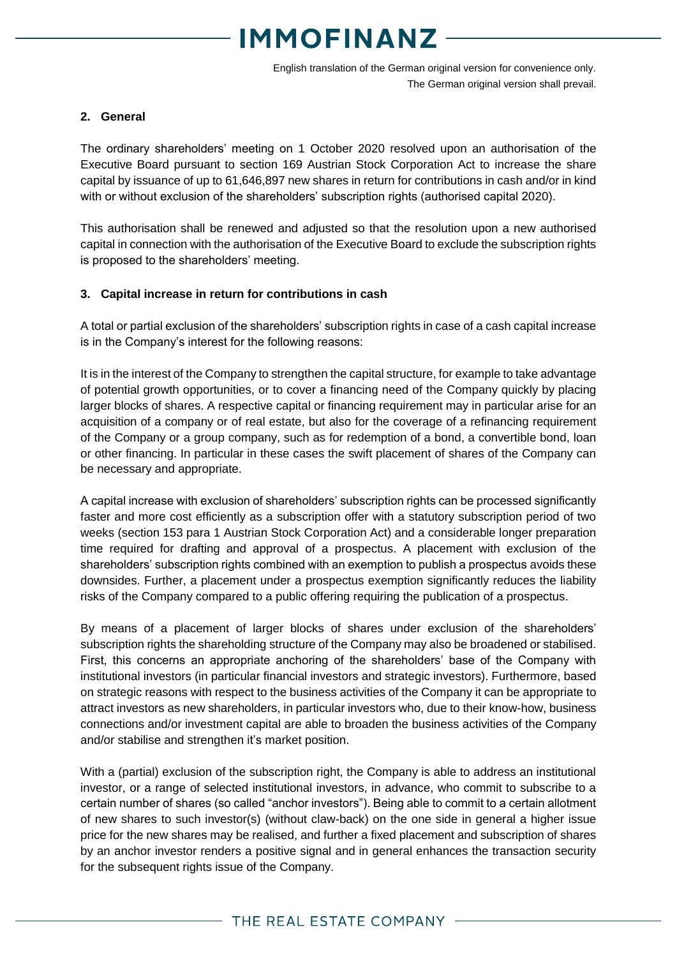English translation of the German original version for convenience only. The German original version shall prevail.

#### **2. General**

The ordinary shareholders' meeting on 1 October 2020 resolved upon an authorisation of the Executive Board pursuant to section 169 Austrian Stock Corporation Act to increase the share capital by issuance of up to 61,646,897 new shares in return for contributions in cash and/or in kind with or without exclusion of the shareholders' subscription rights (authorised capital 2020).

This authorisation shall be renewed and adjusted so that the resolution upon a new authorised capital in connection with the authorisation of the Executive Board to exclude the subscription rights is proposed to the shareholders' meeting.

### **3. Capital increase in return for contributions in cash**

A total or partial exclusion of the shareholders' subscription rights in case of a cash capital increase is in the Company's interest for the following reasons:

It is in the interest of the Company to strengthen the capital structure, for example to take advantage of potential growth opportunities, or to cover a financing need of the Company quickly by placing larger blocks of shares. A respective capital or financing requirement may in particular arise for an acquisition of a company or of real estate, but also for the coverage of a refinancing requirement of the Company or a group company, such as for redemption of a bond, a convertible bond, loan or other financing. In particular in these cases the swift placement of shares of the Company can be necessary and appropriate.

A capital increase with exclusion of shareholders' subscription rights can be processed significantly faster and more cost efficiently as a subscription offer with a statutory subscription period of two weeks (section 153 para 1 Austrian Stock Corporation Act) and a considerable longer preparation time required for drafting and approval of a prospectus. A placement with exclusion of the shareholders' subscription rights combined with an exemption to publish a prospectus avoids these downsides. Further, a placement under a prospectus exemption significantly reduces the liability risks of the Company compared to a public offering requiring the publication of a prospectus.

By means of a placement of larger blocks of shares under exclusion of the shareholders' subscription rights the shareholding structure of the Company may also be broadened or stabilised. First, this concerns an appropriate anchoring of the shareholders' base of the Company with institutional investors (in particular financial investors and strategic investors). Furthermore, based on strategic reasons with respect to the business activities of the Company it can be appropriate to attract investors as new shareholders, in particular investors who, due to their know-how, business connections and/or investment capital are able to broaden the business activities of the Company and/or stabilise and strengthen it's market position.

With a (partial) exclusion of the subscription right, the Company is able to address an institutional investor, or a range of selected institutional investors, in advance, who commit to subscribe to a certain number of shares (so called "anchor investors"). Being able to commit to a certain allotment of new shares to such investor(s) (without claw-back) on the one side in general a higher issue price for the new shares may be realised, and further a fixed placement and subscription of shares by an anchor investor renders a positive signal and in general enhances the transaction security for the subsequent rights issue of the Company.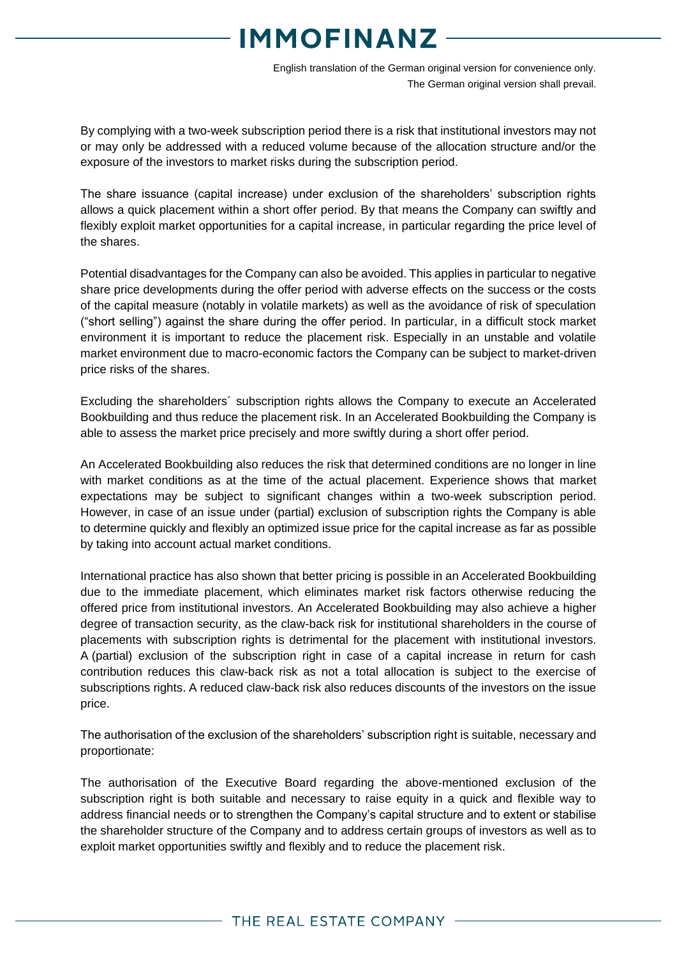English translation of the German original version for convenience only. The German original version shall prevail.

By complying with a two-week subscription period there is a risk that institutional investors may not or may only be addressed with a reduced volume because of the allocation structure and/or the exposure of the investors to market risks during the subscription period.

The share issuance (capital increase) under exclusion of the shareholders' subscription rights allows a quick placement within a short offer period. By that means the Company can swiftly and flexibly exploit market opportunities for a capital increase, in particular regarding the price level of the shares.

Potential disadvantages for the Company can also be avoided. This applies in particular to negative share price developments during the offer period with adverse effects on the success or the costs of the capital measure (notably in volatile markets) as well as the avoidance of risk of speculation ("short selling") against the share during the offer period. In particular, in a difficult stock market environment it is important to reduce the placement risk. Especially in an unstable and volatile market environment due to macro-economic factors the Company can be subject to market-driven price risks of the shares.

Excluding the shareholders´ subscription rights allows the Company to execute an Accelerated Bookbuilding and thus reduce the placement risk. In an Accelerated Bookbuilding the Company is able to assess the market price precisely and more swiftly during a short offer period.

An Accelerated Bookbuilding also reduces the risk that determined conditions are no longer in line with market conditions as at the time of the actual placement. Experience shows that market expectations may be subject to significant changes within a two-week subscription period. However, in case of an issue under (partial) exclusion of subscription rights the Company is able to determine quickly and flexibly an optimized issue price for the capital increase as far as possible by taking into account actual market conditions.

International practice has also shown that better pricing is possible in an Accelerated Bookbuilding due to the immediate placement, which eliminates market risk factors otherwise reducing the offered price from institutional investors. An Accelerated Bookbuilding may also achieve a higher degree of transaction security, as the claw-back risk for institutional shareholders in the course of placements with subscription rights is detrimental for the placement with institutional investors. A (partial) exclusion of the subscription right in case of a capital increase in return for cash contribution reduces this claw-back risk as not a total allocation is subject to the exercise of subscriptions rights. A reduced claw-back risk also reduces discounts of the investors on the issue price.

The authorisation of the exclusion of the shareholders' subscription right is suitable, necessary and proportionate:

The authorisation of the Executive Board regarding the above-mentioned exclusion of the subscription right is both suitable and necessary to raise equity in a quick and flexible way to address financial needs or to strengthen the Company's capital structure and to extent or stabilise the shareholder structure of the Company and to address certain groups of investors as well as to exploit market opportunities swiftly and flexibly and to reduce the placement risk.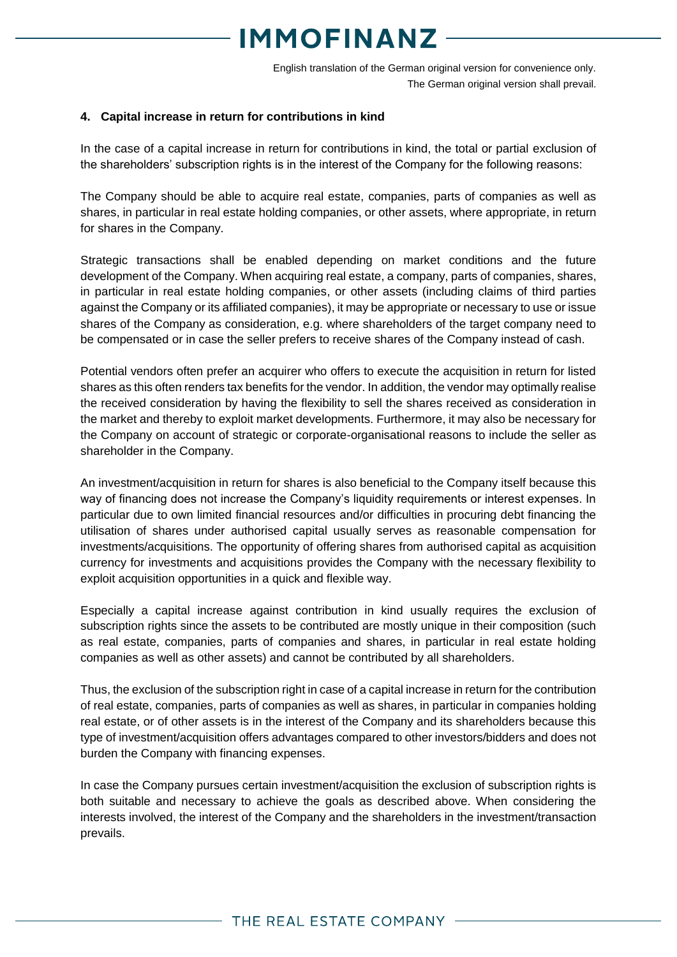English translation of the German original version for convenience only. The German original version shall prevail.

#### **4. Capital increase in return for contributions in kind**

In the case of a capital increase in return for contributions in kind, the total or partial exclusion of the shareholders' subscription rights is in the interest of the Company for the following reasons:

The Company should be able to acquire real estate, companies, parts of companies as well as shares, in particular in real estate holding companies, or other assets, where appropriate, in return for shares in the Company.

Strategic transactions shall be enabled depending on market conditions and the future development of the Company. When acquiring real estate, a company, parts of companies, shares, in particular in real estate holding companies, or other assets (including claims of third parties against the Company or its affiliated companies), it may be appropriate or necessary to use or issue shares of the Company as consideration, e.g. where shareholders of the target company need to be compensated or in case the seller prefers to receive shares of the Company instead of cash.

Potential vendors often prefer an acquirer who offers to execute the acquisition in return for listed shares as this often renders tax benefits for the vendor. In addition, the vendor may optimally realise the received consideration by having the flexibility to sell the shares received as consideration in the market and thereby to exploit market developments. Furthermore, it may also be necessary for the Company on account of strategic or corporate-organisational reasons to include the seller as shareholder in the Company.

An investment/acquisition in return for shares is also beneficial to the Company itself because this way of financing does not increase the Company's liquidity requirements or interest expenses. In particular due to own limited financial resources and/or difficulties in procuring debt financing the utilisation of shares under authorised capital usually serves as reasonable compensation for investments/acquisitions. The opportunity of offering shares from authorised capital as acquisition currency for investments and acquisitions provides the Company with the necessary flexibility to exploit acquisition opportunities in a quick and flexible way.

Especially a capital increase against contribution in kind usually requires the exclusion of subscription rights since the assets to be contributed are mostly unique in their composition (such as real estate, companies, parts of companies and shares, in particular in real estate holding companies as well as other assets) and cannot be contributed by all shareholders.

Thus, the exclusion of the subscription right in case of a capital increase in return for the contribution of real estate, companies, parts of companies as well as shares, in particular in companies holding real estate, or of other assets is in the interest of the Company and its shareholders because this type of investment/acquisition offers advantages compared to other investors/bidders and does not burden the Company with financing expenses.

In case the Company pursues certain investment/acquisition the exclusion of subscription rights is both suitable and necessary to achieve the goals as described above. When considering the interests involved, the interest of the Company and the shareholders in the investment/transaction prevails.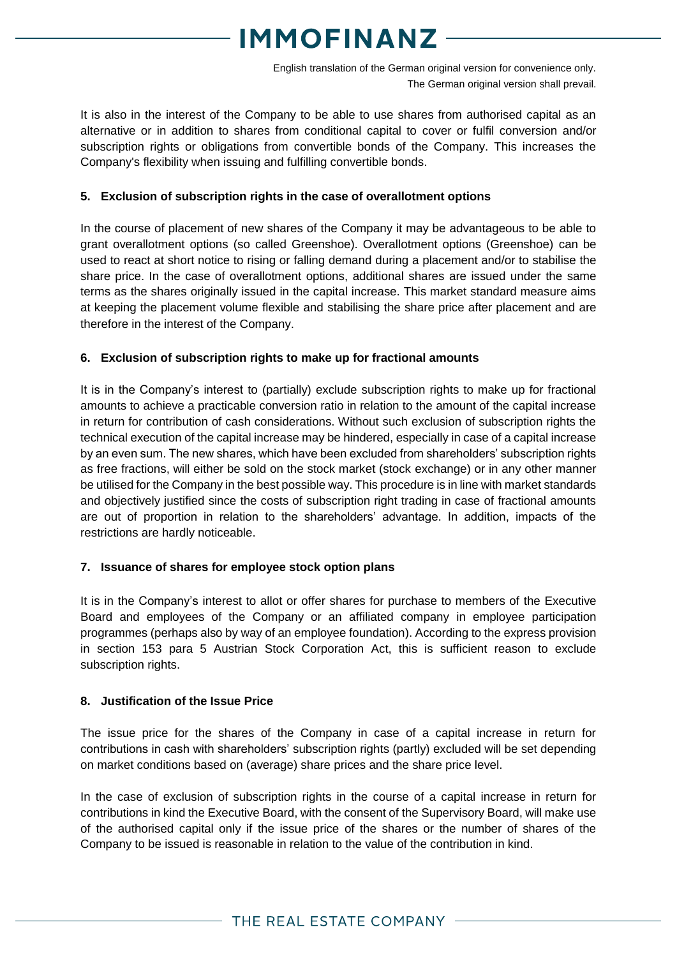English translation of the German original version for convenience only. The German original version shall prevail.

It is also in the interest of the Company to be able to use shares from authorised capital as an alternative or in addition to shares from conditional capital to cover or fulfil conversion and/or subscription rights or obligations from convertible bonds of the Company. This increases the Company's flexibility when issuing and fulfilling convertible bonds.

### **5. Exclusion of subscription rights in the case of overallotment options**

In the course of placement of new shares of the Company it may be advantageous to be able to grant overallotment options (so called Greenshoe). Overallotment options (Greenshoe) can be used to react at short notice to rising or falling demand during a placement and/or to stabilise the share price. In the case of overallotment options, additional shares are issued under the same terms as the shares originally issued in the capital increase. This market standard measure aims at keeping the placement volume flexible and stabilising the share price after placement and are therefore in the interest of the Company.

### **6. Exclusion of subscription rights to make up for fractional amounts**

It is in the Company's interest to (partially) exclude subscription rights to make up for fractional amounts to achieve a practicable conversion ratio in relation to the amount of the capital increase in return for contribution of cash considerations. Without such exclusion of subscription rights the technical execution of the capital increase may be hindered, especially in case of a capital increase by an even sum. The new shares, which have been excluded from shareholders' subscription rights as free fractions, will either be sold on the stock market (stock exchange) or in any other manner be utilised for the Company in the best possible way. This procedure is in line with market standards and objectively justified since the costs of subscription right trading in case of fractional amounts are out of proportion in relation to the shareholders' advantage. In addition, impacts of the restrictions are hardly noticeable.

### **7. Issuance of shares for employee stock option plans**

It is in the Company's interest to allot or offer shares for purchase to members of the Executive Board and employees of the Company or an affiliated company in employee participation programmes (perhaps also by way of an employee foundation). According to the express provision in section 153 para 5 Austrian Stock Corporation Act, this is sufficient reason to exclude subscription rights.

### **8. Justification of the Issue Price**

The issue price for the shares of the Company in case of a capital increase in return for contributions in cash with shareholders' subscription rights (partly) excluded will be set depending on market conditions based on (average) share prices and the share price level.

In the case of exclusion of subscription rights in the course of a capital increase in return for contributions in kind the Executive Board, with the consent of the Supervisory Board, will make use of the authorised capital only if the issue price of the shares or the number of shares of the Company to be issued is reasonable in relation to the value of the contribution in kind.